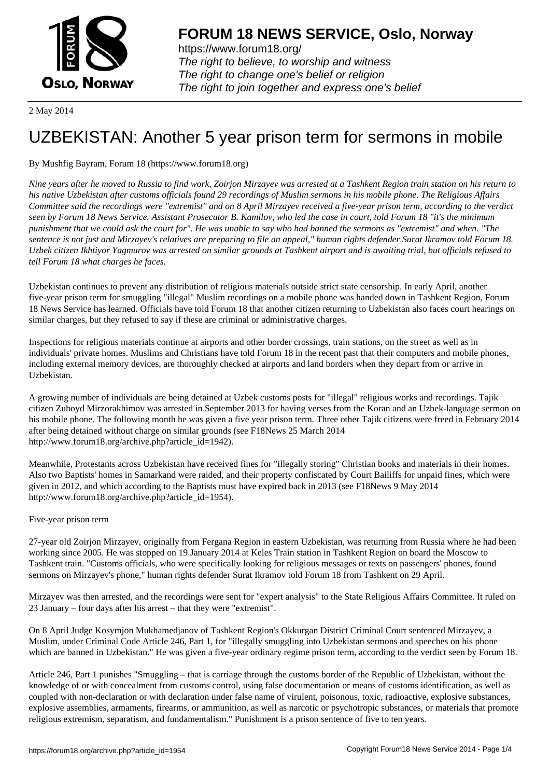

https://www.forum18.org/ The right to believe, to worship and witness The right to change one's belief or religion [The right to join together a](https://www.forum18.org/)nd express one's belief

2 May 2014

# [UZBEKISTAN:](https://www.forum18.org) Another 5 year prison term for sermons in mobile

# By Mushfig Bayram, Forum 18 (https://www.forum18.org)

*Nine years after he moved to Russia to find work, Zoirjon Mirzayev was arrested at a Tashkent Region train station on his return to his native Uzbekistan after customs officials found 29 recordings of Muslim sermons in his mobile phone. The Religious Affairs Committee said the recordings were "extremist" and on 8 April Mirzayev received a five-year prison term, according to the verdict seen by Forum 18 News Service. Assistant Prosecutor B. Kamilov, who led the case in court, told Forum 18 "it's the minimum punishment that we could ask the court for". He was unable to say who had banned the sermons as "extremist" and when. "The sentence is not just and Mirzayev's relatives are preparing to file an appeal," human rights defender Surat Ikramov told Forum 18. Uzbek citizen Ikhtiyor Yagmurov was arrested on similar grounds at Tashkent airport and is awaiting trial, but officials refused to tell Forum 18 what charges he faces.*

Uzbekistan continues to prevent any distribution of religious materials outside strict state censorship. In early April, another five-year prison term for smuggling "illegal" Muslim recordings on a mobile phone was handed down in Tashkent Region, Forum 18 News Service has learned. Officials have told Forum 18 that another citizen returning to Uzbekistan also faces court hearings on similar charges, but they refused to say if these are criminal or administrative charges.

Inspections for religious materials continue at airports and other border crossings, train stations, on the street as well as in individuals' private homes. Muslims and Christians have told Forum 18 in the recent past that their computers and mobile phones, including external memory devices, are thoroughly checked at airports and land borders when they depart from or arrive in Uzbekistan.

A growing number of individuals are being detained at Uzbek customs posts for "illegal" religious works and recordings. Tajik citizen Zuboyd Mirzorakhimov was arrested in September 2013 for having verses from the Koran and an Uzbek-language sermon on his mobile phone. The following month he was given a five year prison term. Three other Tajik citizens were freed in February 2014 after being detained without charge on similar grounds (see F18News 25 March 2014 http://www.forum18.org/archive.php?article\_id=1942).

Meanwhile, Protestants across Uzbekistan have received fines for "illegally storing" Christian books and materials in their homes. Also two Baptists' homes in Samarkand were raided, and their property confiscated by Court Bailiffs for unpaid fines, which were given in 2012, and which according to the Baptists must have expired back in 2013 (see F18News 9 May 2014 http://www.forum18.org/archive.php?article\_id=1954).

# Five-year prison term

27-year old Zoirjon Mirzayev, originally from Fergana Region in eastern Uzbekistan, was returning from Russia where he had been working since 2005. He was stopped on 19 January 2014 at Keles Train station in Tashkent Region on board the Moscow to Tashkent train. "Customs officials, who were specifically looking for religious messages or texts on passengers' phones, found sermons on Mirzayev's phone," human rights defender Surat Ikramov told Forum 18 from Tashkent on 29 April.

Mirzayev was then arrested, and the recordings were sent for "expert analysis" to the State Religious Affairs Committee. It ruled on 23 January – four days after his arrest – that they were "extremist".

On 8 April Judge Kosymjon Mukhamedjanov of Tashkent Region's Okkurgan District Criminal Court sentenced Mirzayev, a Muslim, under Criminal Code Article 246, Part 1, for "illegally smuggling into Uzbekistan sermons and speeches on his phone which are banned in Uzbekistan." He was given a five-year ordinary regime prison term, according to the verdict seen by Forum 18.

Article 246, Part 1 punishes "Smuggling – that is carriage through the customs border of the Republic of Uzbekistan, without the knowledge of or with concealment from customs control, using false documentation or means of customs identification, as well as coupled with non-declaration or with declaration under false name of virulent, poisonous, toxic, radioactive, explosive substances, explosive assemblies, armaments, firearms, or ammunition, as well as narcotic or psychotropic substances, or materials that promote religious extremism, separatism, and fundamentalism." Punishment is a prison sentence of five to ten years.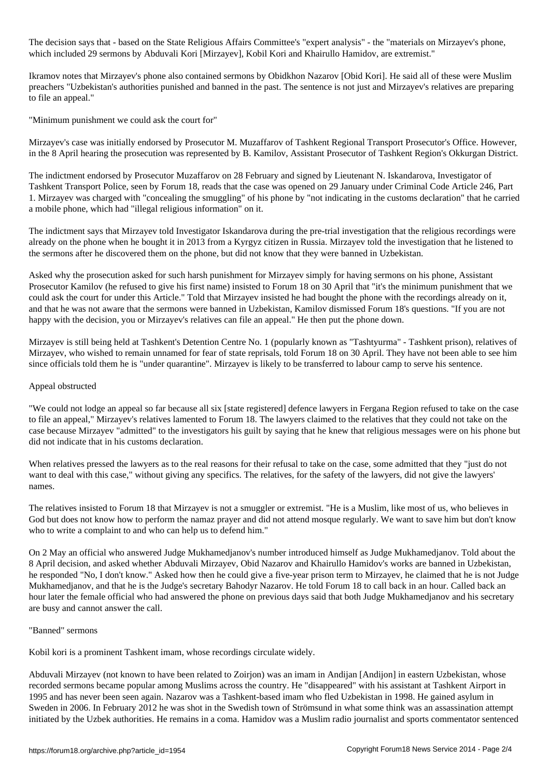The decision says that - based on the State Religious Affairs Committee's "expert analysis" - the "materials on Mirzayev's phone, which included 29 sermons by Abduvali Kori [Mirzayev], Kobil Kori and Khairullo Hamidov, are extremist."

Ikramov notes that Mirzayev's phone also contained sermons by Obidkhon Nazarov [Obid Kori]. He said all of these were Muslim preachers "Uzbekistan's authorities punished and banned in the past. The sentence is not just and Mirzayev's relatives are preparing to file an appeal."

"Minimum punishment we could ask the court for"

Mirzayev's case was initially endorsed by Prosecutor M. Muzaffarov of Tashkent Regional Transport Prosecutor's Office. However, in the 8 April hearing the prosecution was represented by B. Kamilov, Assistant Prosecutor of Tashkent Region's Okkurgan District.

The indictment endorsed by Prosecutor Muzaffarov on 28 February and signed by Lieutenant N. Iskandarova, Investigator of Tashkent Transport Police, seen by Forum 18, reads that the case was opened on 29 January under Criminal Code Article 246, Part 1. Mirzayev was charged with "concealing the smuggling" of his phone by "not indicating in the customs declaration" that he carried a mobile phone, which had "illegal religious information" on it.

The indictment says that Mirzayev told Investigator Iskandarova during the pre-trial investigation that the religious recordings were already on the phone when he bought it in 2013 from a Kyrgyz citizen in Russia. Mirzayev told the investigation that he listened to the sermons after he discovered them on the phone, but did not know that they were banned in Uzbekistan.

Asked why the prosecution asked for such harsh punishment for Mirzayev simply for having sermons on his phone, Assistant Prosecutor Kamilov (he refused to give his first name) insisted to Forum 18 on 30 April that "it's the minimum punishment that we could ask the court for under this Article." Told that Mirzayev insisted he had bought the phone with the recordings already on it, and that he was not aware that the sermons were banned in Uzbekistan, Kamilov dismissed Forum 18's questions. "If you are not happy with the decision, you or Mirzayev's relatives can file an appeal." He then put the phone down.

Mirzayev is still being held at Tashkent's Detention Centre No. 1 (popularly known as "Tashtyurma" - Tashkent prison), relatives of Mirzayev, who wished to remain unnamed for fear of state reprisals, told Forum 18 on 30 April. They have not been able to see him since officials told them he is "under quarantine". Mirzayev is likely to be transferred to labour camp to serve his sentence.

#### Appeal obstructed

"We could not lodge an appeal so far because all six [state registered] defence lawyers in Fergana Region refused to take on the case to file an appeal," Mirzayev's relatives lamented to Forum 18. The lawyers claimed to the relatives that they could not take on the case because Mirzayev "admitted" to the investigators his guilt by saying that he knew that religious messages were on his phone but did not indicate that in his customs declaration.

When relatives pressed the lawyers as to the real reasons for their refusal to take on the case, some admitted that they "just do not want to deal with this case," without giving any specifics. The relatives, for the safety of the lawyers, did not give the lawyers' names.

The relatives insisted to Forum 18 that Mirzayev is not a smuggler or extremist. "He is a Muslim, like most of us, who believes in God but does not know how to perform the namaz prayer and did not attend mosque regularly. We want to save him but don't know who to write a complaint to and who can help us to defend him."

On 2 May an official who answered Judge Mukhamedjanov's number introduced himself as Judge Mukhamedjanov. Told about the 8 April decision, and asked whether Abduvali Mirzayev, Obid Nazarov and Khairullo Hamidov's works are banned in Uzbekistan, he responded "No, I don't know." Asked how then he could give a five-year prison term to Mirzayev, he claimed that he is not Judge Mukhamedjanov, and that he is the Judge's secretary Bahodyr Nazarov. He told Forum 18 to call back in an hour. Called back an hour later the female official who had answered the phone on previous days said that both Judge Mukhamedjanov and his secretary are busy and cannot answer the call.

# "Banned" sermons

Kobil kori is a prominent Tashkent imam, whose recordings circulate widely.

Abduvali Mirzayev (not known to have been related to Zoirjon) was an imam in Andijan [Andijon] in eastern Uzbekistan, whose recorded sermons became popular among Muslims across the country. He "disappeared" with his assistant at Tashkent Airport in 1995 and has never been seen again. Nazarov was a Tashkent-based imam who fled Uzbekistan in 1998. He gained asylum in Sweden in 2006. In February 2012 he was shot in the Swedish town of Strömsund in what some think was an assassination attempt initiated by the Uzbek authorities. He remains in a coma. Hamidov was a Muslim radio journalist and sports commentator sentenced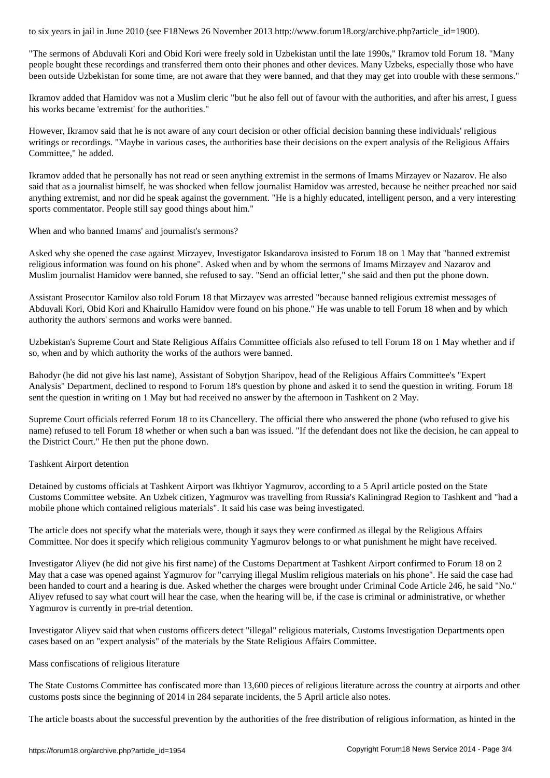"The sermons of Abduvali Kori and Obid Kori were freely sold in Uzbekistan until the late 1990s," Ikramov told Forum 18. "Many people bought these recordings and transferred them onto their phones and other devices. Many Uzbeks, especially those who have been outside Uzbekistan for some time, are not aware that they were banned, and that they may get into trouble with these sermons."

Ikramov added that Hamidov was not a Muslim cleric "but he also fell out of favour with the authorities, and after his arrest, I guess his works became 'extremist' for the authorities."

However, Ikramov said that he is not aware of any court decision or other official decision banning these individuals' religious writings or recordings. "Maybe in various cases, the authorities base their decisions on the expert analysis of the Religious Affairs Committee," he added.

Ikramov added that he personally has not read or seen anything extremist in the sermons of Imams Mirzayev or Nazarov. He also said that as a journalist himself, he was shocked when fellow journalist Hamidov was arrested, because he neither preached nor said anything extremist, and nor did he speak against the government. "He is a highly educated, intelligent person, and a very interesting sports commentator. People still say good things about him."

When and who banned Imams' and journalist's sermons?

Asked why she opened the case against Mirzayev, Investigator Iskandarova insisted to Forum 18 on 1 May that "banned extremist religious information was found on his phone". Asked when and by whom the sermons of Imams Mirzayev and Nazarov and Muslim journalist Hamidov were banned, she refused to say. "Send an official letter," she said and then put the phone down.

Assistant Prosecutor Kamilov also told Forum 18 that Mirzayev was arrested "because banned religious extremist messages of Abduvali Kori, Obid Kori and Khairullo Hamidov were found on his phone." He was unable to tell Forum 18 when and by which authority the authors' sermons and works were banned.

Uzbekistan's Supreme Court and State Religious Affairs Committee officials also refused to tell Forum 18 on 1 May whether and if so, when and by which authority the works of the authors were banned.

Bahodyr (he did not give his last name), Assistant of Sobytjon Sharipov, head of the Religious Affairs Committee's "Expert Analysis" Department, declined to respond to Forum 18's question by phone and asked it to send the question in writing. Forum 18 sent the question in writing on 1 May but had received no answer by the afternoon in Tashkent on 2 May.

Supreme Court officials referred Forum 18 to its Chancellery. The official there who answered the phone (who refused to give his name) refused to tell Forum 18 whether or when such a ban was issued. "If the defendant does not like the decision, he can appeal to the District Court." He then put the phone down.

# Tashkent Airport detention

Detained by customs officials at Tashkent Airport was Ikhtiyor Yagmurov, according to a 5 April article posted on the State Customs Committee website. An Uzbek citizen, Yagmurov was travelling from Russia's Kaliningrad Region to Tashkent and "had a mobile phone which contained religious materials". It said his case was being investigated.

The article does not specify what the materials were, though it says they were confirmed as illegal by the Religious Affairs Committee. Nor does it specify which religious community Yagmurov belongs to or what punishment he might have received.

Investigator Aliyev (he did not give his first name) of the Customs Department at Tashkent Airport confirmed to Forum 18 on 2 May that a case was opened against Yagmurov for "carrying illegal Muslim religious materials on his phone". He said the case had been handed to court and a hearing is due. Asked whether the charges were brought under Criminal Code Article 246, he said "No." Aliyev refused to say what court will hear the case, when the hearing will be, if the case is criminal or administrative, or whether Yagmurov is currently in pre-trial detention.

Investigator Aliyev said that when customs officers detect "illegal" religious materials, Customs Investigation Departments open cases based on an "expert analysis" of the materials by the State Religious Affairs Committee.

#### Mass confiscations of religious literature

The State Customs Committee has confiscated more than 13,600 pieces of religious literature across the country at airports and other customs posts since the beginning of 2014 in 284 separate incidents, the 5 April article also notes.

The article boasts about the successful prevention by the authorities of the free distribution of religious information, as hinted in the